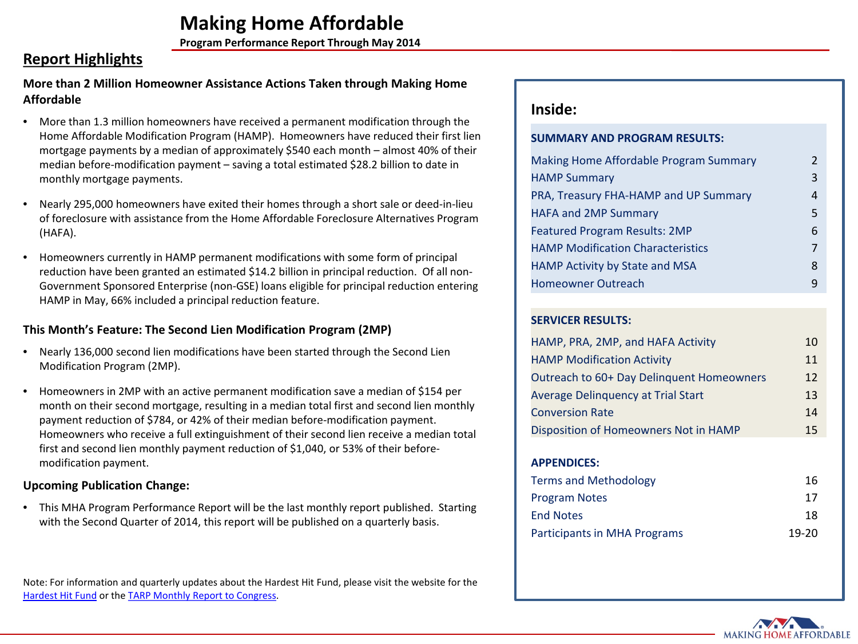**Program Performance Report Through May 2014**

# **Report Highlights**

### **More than 2 Million Homeowner Assistance Actions Taken through Making Home Affordable**

- More than 1.3 million homeowners have received a permanent modification through the Home Affordable Modification Program (HAMP). Homeowners have reduced their first lien mortgage payments by a median of approximately \$540 each month – almost 40% of their median before-modification payment – saving a total estimated \$28.2 billion to date in monthly mortgage payments.
- Nearly 295,000 homeowners have exited their homes through a short sale or deed-in-lieu of foreclosure with assistance from the Home Affordable Foreclosure Alternatives Program (HAFA).
- Homeowners currently in HAMP permanent modifications with some form of principal reduction have been granted an estimated \$14.2 billion in principal reduction. Of all non-Government Sponsored Enterprise (non-GSE) loans eligible for principal reduction entering HAMP in May, 66% included a principal reduction feature.

### **This Month's Feature: The Second Lien Modification Program (2MP)**

- Nearly 136,000 second lien modifications have been started through the Second Lien Modification Program (2MP).
- Homeowners in 2MP with an active permanent modification save a median of \$154 per month on their second mortgage, resulting in a median total first and second lien monthly payment reduction of \$784, or 42% of their median before-modification payment. Homeowners who receive a full extinguishment of their second lien receive a median total first and second lien monthly payment reduction of \$1,040, or 53% of their beforemodification payment.

### **Upcoming Publication Change:**

• This MHA Program Performance Report will be the last monthly report published. Starting with the Second Quarter of 2014, this report will be published on a quarterly basis.

Note: For information and quarterly updates about the Hardest Hit Fund, please visit the website for the [Hardest Hit Fund](http://www.treasury.gov/initiatives/financial-stability/TARP-Programs/housing/hhf/Pages/default.aspx) or the [TARP Monthly Report to Congress.](http://www.treasury.gov/initiatives/financial-stability/briefing-room/reports/105/Pages/default.aspx)

# **Inside:**

### **SUMMARY AND PROGRAM RESULTS:**

| <b>Making Home Affordable Program Summary</b> | 2 |
|-----------------------------------------------|---|
| <b>HAMP Summary</b>                           | 3 |
| PRA, Treasury FHA-HAMP and UP Summary         | 4 |
| <b>HAFA and 2MP Summary</b>                   | 5 |
| <b>Featured Program Results: 2MP</b>          | 6 |
| <b>HAMP Modification Characteristics</b>      | 7 |
| HAMP Activity by State and MSA                | 8 |
| Homeowner Outreach                            | q |

### **SERVICER RESULTS:**

| HAMP, PRA, 2MP, and HAFA Activity         | 10 |
|-------------------------------------------|----|
| <b>HAMP Modification Activity</b>         | 11 |
| Outreach to 60+ Day Delinquent Homeowners | 12 |
| <b>Average Delinguency at Trial Start</b> | 13 |
| <b>Conversion Rate</b>                    | 14 |
| Disposition of Homeowners Not in HAMP     | 15 |

### **APPENDICES:**

| Terms and Methodology               | 16      |
|-------------------------------------|---------|
| <b>Program Notes</b>                | 17      |
| <b>End Notes</b>                    | 18      |
| <b>Participants in MHA Programs</b> | $19-20$ |

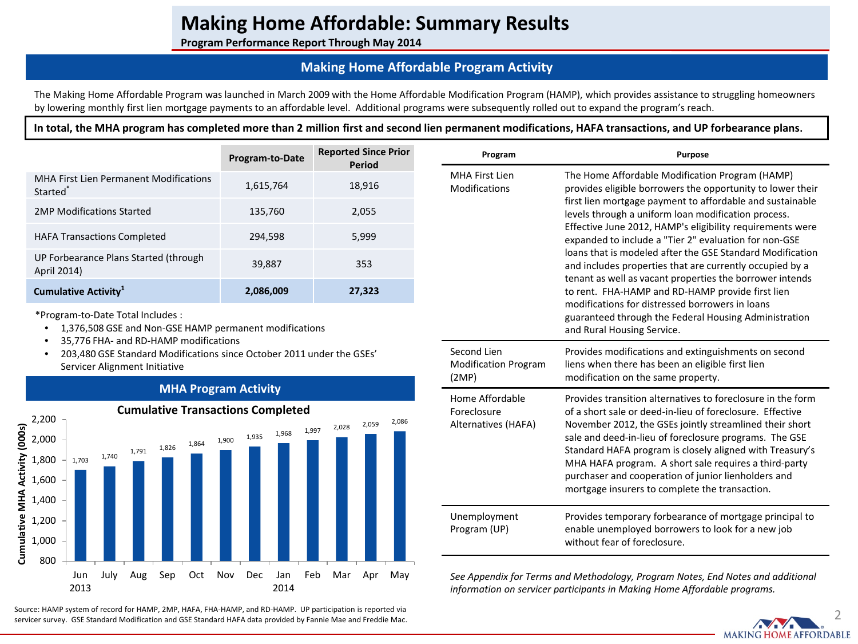**Program Performance Report Through May 2014**

## **Making Home Affordable Program Activity**

The Making Home Affordable Program was launched in March 2009 with the Home Affordable Modification Program (HAMP), which provides assistance to struggling homeowners by lowering monthly first lien mortgage payments to an affordable level. Additional programs were subsequently rolled out to expand the program's reach.

**In total, the MHA program has completed more than 2 million first and second lien permanent modifications, HAFA transactions, and UP forbearance plans.**

|                                                                | Program-to-Date | <b>Reported Since Prior</b><br>Period | Program                         | <b>Purpose</b>                                                                                                                                                                   |
|----------------------------------------------------------------|-----------------|---------------------------------------|---------------------------------|----------------------------------------------------------------------------------------------------------------------------------------------------------------------------------|
| MHA First Lien Permanent Modifications<br>Started <sup>®</sup> | 1,615,764       | 18,916                                | MHA First Lien<br>Modifications | The Home Affordable Modification Program (HAMP)<br>provides eligible borrowers the opportunity to lower the                                                                      |
| 2MP Modifications Started                                      | 135,760         | 2,055                                 |                                 | first lien mortgage payment to affordable and sustainable<br>levels through a uniform loan modification process.                                                                 |
| <b>HAFA Transactions Completed</b>                             | 294,598         | 5,999                                 |                                 | Effective June 2012, HAMP's eligibility requirements wer<br>expanded to include a "Tier 2" evaluation for non-GSE                                                                |
| UP Forbearance Plans Started (through<br>April 2014)           | 39.887          | 353                                   |                                 | loans that is modeled after the GSE Standard Modificatio<br>and includes properties that are currently occupied by a<br>tenant as well as vacant properties the borrower intends |
| Cumulative Activity <sup>1</sup>                               | 2,086,009       | 27,323                                |                                 | to rent. FHA-HAMP and RD-HAMP provide first lien                                                                                                                                 |

\*Program-to-Date Total Includes :

- 1,376,508 GSE and Non-GSE HAMP permanent modifications
- 35,776 FHA- and RD-HAMP modifications
- 203,480 GSE Standard Modifications since October 2011 under the GSEs' Servicer Alignment Initiative



### **MHA Program Activity**

2 Source: HAMP system of record for HAMP, 2MP, HAFA, FHA-HAMP, and RD-HAMP. UP participation is reported via servicer survey. GSE Standard Modification and GSE Standard HAFA data provided by Fannie Mae and Freddie Mac.

| Program                                               | <b>Purpose</b>                                                                                                                                                                                                                                                                                                                                                                                                                                                                                                                                                                                                                                                                                                                             |
|-------------------------------------------------------|--------------------------------------------------------------------------------------------------------------------------------------------------------------------------------------------------------------------------------------------------------------------------------------------------------------------------------------------------------------------------------------------------------------------------------------------------------------------------------------------------------------------------------------------------------------------------------------------------------------------------------------------------------------------------------------------------------------------------------------------|
| <b>MHA First Lien</b><br>Modifications                | The Home Affordable Modification Program (HAMP)<br>provides eligible borrowers the opportunity to lower their<br>first lien mortgage payment to affordable and sustainable<br>levels through a uniform loan modification process.<br>Effective June 2012, HAMP's eligibility requirements were<br>expanded to include a "Tier 2" evaluation for non-GSE<br>loans that is modeled after the GSE Standard Modification<br>and includes properties that are currently occupied by a<br>tenant as well as vacant properties the borrower intends<br>to rent. FHA-HAMP and RD-HAMP provide first lien<br>modifications for distressed borrowers in loans<br>guaranteed through the Federal Housing Administration<br>and Rural Housing Service. |
| Second Lien<br><b>Modification Program</b><br>(2MP)   | Provides modifications and extinguishments on second<br>liens when there has been an eligible first lien<br>modification on the same property.                                                                                                                                                                                                                                                                                                                                                                                                                                                                                                                                                                                             |
| Home Affordable<br>Foreclosure<br>Alternatives (HAFA) | Provides transition alternatives to foreclosure in the form<br>of a short sale or deed-in-lieu of foreclosure. Effective<br>November 2012, the GSEs jointly streamlined their short<br>sale and deed-in-lieu of foreclosure programs. The GSE<br>Standard HAFA program is closely aligned with Treasury's<br>MHA HAFA program. A short sale requires a third-party<br>purchaser and cooperation of junior lienholders and<br>mortgage insurers to complete the transaction.                                                                                                                                                                                                                                                                |
| Unemployment<br>Program (UP)                          | Provides temporary forbearance of mortgage principal to<br>enable unemployed borrowers to look for a new job<br>without fear of foreclosure.                                                                                                                                                                                                                                                                                                                                                                                                                                                                                                                                                                                               |
|                                                       |                                                                                                                                                                                                                                                                                                                                                                                                                                                                                                                                                                                                                                                                                                                                            |

*See Appendix for Terms and Methodology, Program Notes, End Notes and additional information on servicer participants in Making Home Affordable programs.* 

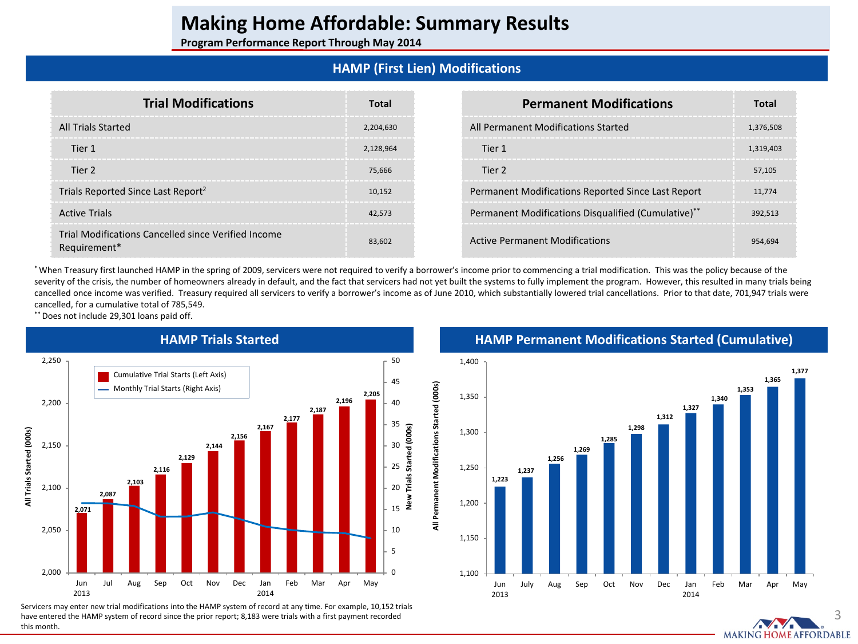**Program Performance Report Through May 2014**

## **HAMP (First Lien) Modifications**

| <b>Trial Modifications</b>                                          | Total     | <b>Permanent Modifications</b>                      | Total     |
|---------------------------------------------------------------------|-----------|-----------------------------------------------------|-----------|
| All Trials Started                                                  | 2,204,630 | All Permanent Modifications Started                 | 1,376,508 |
| Tier 1                                                              | 2,128,964 | Tier 1                                              | 1.319.403 |
| Tier 2                                                              | 75.666    | Tier 2                                              | 57,105    |
| Trials Reported Since Last Report <sup>2</sup>                      | 10,152    | Permanent Modifications Reported Since Last Report  | 11,774    |
| <b>Active Trials</b>                                                | 42.573    | Permanent Modifications Disqualified (Cumulative)** | 392.513   |
| Trial Modifications Cancelled since Verified Income<br>Requirement* | 83.602    | <b>Active Permanent Modifications</b>               | 954.694   |

\* When Treasury first launched HAMP in the spring of 2009, servicers were not required to verify a borrower's income prior to commencing a trial modification. This was the policy because of the severity of the crisis, the number of homeowners already in default, and the fact that servicers had not yet built the systems to fully implement the program. However, this resulted in many trials being cancelled once income was verified. Treasury required all servicers to verify a borrower's income as of June 2010, which substantially lowered trial cancellations. Prior to that date, 701,947 trials were cancelled, for a cumulative total of 785,549.

\*\* Does not include 29,301 loans paid off.



Servicers may enter new trial modifications into the HAMP system of record at any time. For example, 10,152 trials have entered the HAMP system of record since the prior report; 8,183 were trials with a first payment recorded this month.

**HAMP Permanent Modifications Started (Cumulative)**



3 **MAKING HOME AFFORDABLE**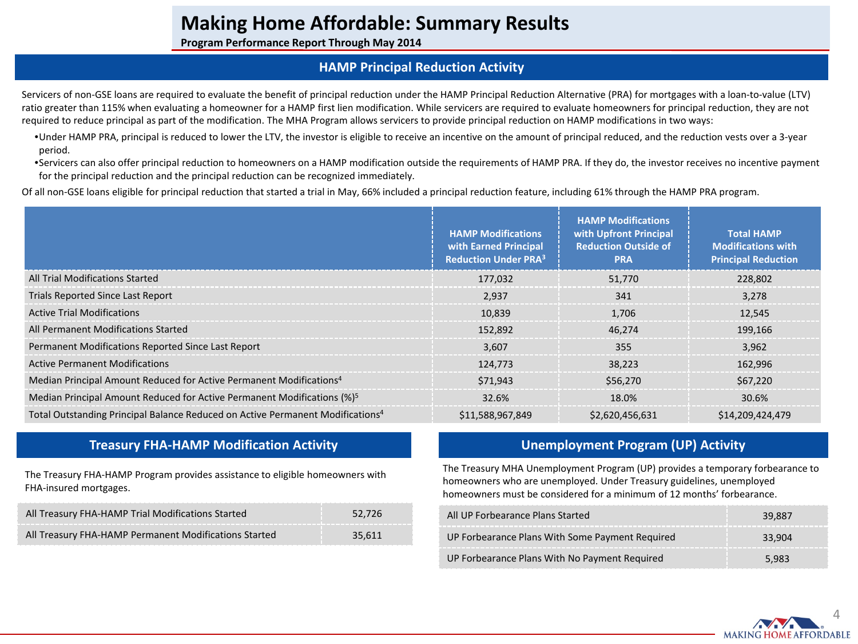**Program Performance Report Through May 2014**

## **HAMP Principal Reduction Activity**

Servicers of non-GSE loans are required to evaluate the benefit of principal reduction under the HAMP Principal Reduction Alternative (PRA) for mortgages with a loan-to-value (LTV) ratio greater than 115% when evaluating a homeowner for a HAMP first lien modification. While servicers are required to evaluate homeowners for principal reduction, they are not required to reduce principal as part of the modification. The MHA Program allows servicers to provide principal reduction on HAMP modifications in two ways:

•Under HAMP PRA, principal is reduced to lower the LTV, the investor is eligible to receive an incentive on the amount of principal reduced, and the reduction vests over a 3-year period.

•Servicers can also offer principal reduction to homeowners on a HAMP modification outside the requirements of HAMP PRA. If they do, the investor receives no incentive payment for the principal reduction and the principal reduction can be recognized immediately.

Of all non-GSE loans eligible for principal reduction that started a trial in May, 66% included a principal reduction feature, including 61% through the HAMP PRA program.

|                                                                                            | <b>HAMP Modifications</b><br>with Earned Principal<br><b>Reduction Under PRA3</b> | <b>HAMP Modifications</b><br>with Upfront Principal<br><b>Reduction Outside of</b><br><b>PRA</b> | <b>Total HAMP</b><br><b>Modifications with</b><br><b>Principal Reduction</b> |
|--------------------------------------------------------------------------------------------|-----------------------------------------------------------------------------------|--------------------------------------------------------------------------------------------------|------------------------------------------------------------------------------|
| All Trial Modifications Started                                                            | 177,032                                                                           | 51,770                                                                                           | 228,802                                                                      |
| Trials Reported Since Last Report                                                          | 2,937                                                                             | 341                                                                                              | 3,278                                                                        |
| <b>Active Trial Modifications</b>                                                          | 10,839                                                                            | 1.706                                                                                            | 12,545                                                                       |
| All Permanent Modifications Started                                                        | 152,892                                                                           | 46.274                                                                                           | 199.166                                                                      |
| Permanent Modifications Reported Since Last Report                                         | 3.607                                                                             | 355                                                                                              | 3,962                                                                        |
| <b>Active Permanent Modifications</b>                                                      | 124,773                                                                           | 38.223                                                                                           | 162.996                                                                      |
| Median Principal Amount Reduced for Active Permanent Modifications <sup>4</sup>            | \$71.943                                                                          | \$56,270                                                                                         | \$67,220                                                                     |
| Median Principal Amount Reduced for Active Permanent Modifications (%) <sup>5</sup>        | 32.6%                                                                             | 18.0%                                                                                            | 30.6%                                                                        |
| Total Outstanding Principal Balance Reduced on Active Permanent Modifications <sup>4</sup> | \$11,588,967,849                                                                  | \$2,620,456,631                                                                                  | \$14,209,424,479                                                             |

## **Treasury FHA-HAMP Modification Activity**

The Treasury FHA-HAMP Program provides assistance to eligible homeowners with FHA-insured mortgages.

| All Treasury FHA-HAMP Trial Modifications Started     | 52.726 |
|-------------------------------------------------------|--------|
| All Treasury FHA-HAMP Permanent Modifications Started | 35,611 |

## **Unemployment Program (UP) Activity**

The Treasury MHA Unemployment Program (UP) provides a temporary forbearance to homeowners who are unemployed. Under Treasury guidelines, unemployed homeowners must be considered for a minimum of 12 months' forbearance.

| All UP Forbearance Plans Started                | 39.887 |
|-------------------------------------------------|--------|
| UP Forbearance Plans With Some Payment Required | 33.904 |
| UP Forbearance Plans With No Payment Required   | 5.983  |

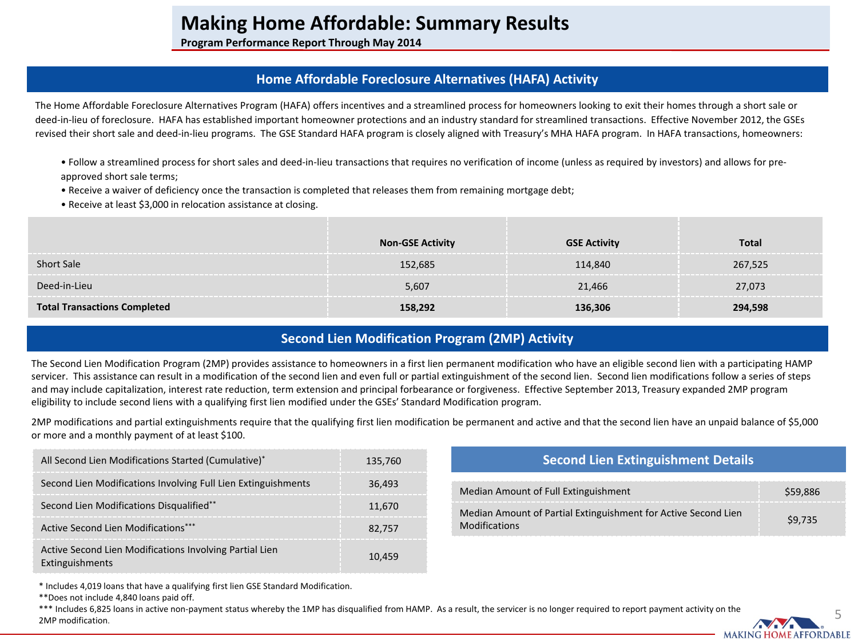**Program Performance Report Through May 2014**

## **Home Affordable Foreclosure Alternatives (HAFA) Activity**

The Home Affordable Foreclosure Alternatives Program (HAFA) offers incentives and a streamlined process for homeowners looking to exit their homes through a short sale or deed-in-lieu of foreclosure. HAFA has established important homeowner protections and an industry standard for streamlined transactions. Effective November 2012, the GSEs revised their short sale and deed-in-lieu programs. The GSE Standard HAFA program is closely aligned with Treasury's MHA HAFA program. In HAFA transactions, homeowners:

- Follow a streamlined process for short sales and deed-in-lieu transactions that requires no verification of income (unless as required by investors) and allows for preapproved short sale terms;
- Receive a waiver of deficiency once the transaction is completed that releases them from remaining mortgage debt;
- Receive at least \$3,000 in relocation assistance at closing.

|                               | <b>Non-GSE Activity</b> | <b>GSE Activity</b> | Total   |
|-------------------------------|-------------------------|---------------------|---------|
| <b>Short Sale</b>             | 152,685                 | 114,840             | 267,525 |
| Deed-in-Lieu                  | 5,607                   | 21.466              | 27.073  |
| <b>Fransactions Completed</b> | 158 292                 | I36.306             | 294.598 |

## **Second Lien Modification Program (2MP) Activity**

The Second Lien Modification Program (2MP) provides assistance to homeowners in a first lien permanent modification who have an eligible second lien with a participating HAMP servicer. This assistance can result in a modification of the second lien and even full or partial extinguishment of the second lien. Second lien modifications follow a series of steps and may include capitalization, interest rate reduction, term extension and principal forbearance or forgiveness. Effective September 2013, Treasury expanded 2MP program eligibility to include second liens with a qualifying first lien modified under the GSEs' Standard Modification program.

2MP modifications and partial extinguishments require that the qualifying first lien modification be permanent and active and that the second lien have an unpaid balance of \$5,000 or more and a monthly payment of at least \$100.

| All Second Lien Modifications Started (Cumulative)*                        | 135.760 | <b>Second Lien Extinguishment Details</b>                      |         |
|----------------------------------------------------------------------------|---------|----------------------------------------------------------------|---------|
| Second Lien Modifications Involving Full Lien Extinguishments              | 36.493  | Median Amount of Full Extinguishment                           | S59.886 |
| Second Lien Modifications Disqualified**                                   | 11.670  | Median Amount of Partial Extinguishment for Active Second Lien |         |
| Active Second Lien Modifications***                                        | 82.757  | <b>Modifications</b>                                           | \$9.735 |
| Active Second Lien Modifications Involving Partial Lien<br>Extinguishments | 10.459  |                                                                |         |

\* Includes 4,019 loans that have a qualifying first lien GSE Standard Modification.

\*\*Does not include 4,840 loans paid off.

\*\*\* Includes 6,825 loans in active non-payment status whereby the 1MP has disqualified from HAMP. As a result, the servicer is no longer required to report payment activity on the 2MP modification.

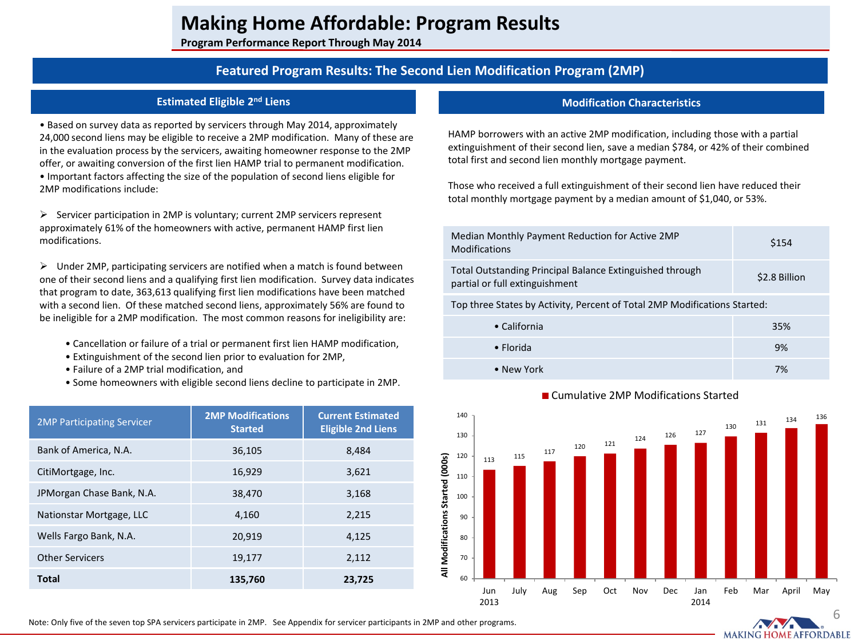**Program Performance Report Through May 2014**

## **Featured Program Results: The Second Lien Modification Program (2MP)**

### **Estimated Eligible 2nd Liens**

• Based on survey data as reported by servicers through May 2014, approximately 24,000 second liens may be eligible to receive a 2MP modification. Many of these are in the evaluation process by the servicers, awaiting homeowner response to the 2MP offer, or awaiting conversion of the first lien HAMP trial to permanent modification. • Important factors affecting the size of the population of second liens eligible for 2MP modifications include:

 $\triangleright$  Servicer participation in 2MP is voluntary; current 2MP servicers represent approximately 61% of the homeowners with active, permanent HAMP first lien modifications.

 $\triangleright$  Under 2MP, participating servicers are notified when a match is found between one of their second liens and a qualifying first lien modification. Survey data indicates that program to date, 363,613 qualifying first lien modifications have been matched with a second lien. Of these matched second liens, approximately 56% are found to be ineligible for a 2MP modification. The most common reasons for ineligibility are:

- Cancellation or failure of a trial or permanent first lien HAMP modification,
- Extinguishment of the second lien prior to evaluation for 2MP,
- Failure of a 2MP trial modification, and
- Some homeowners with eligible second liens decline to participate in 2MP.

| <b>2MP Participating Servicer</b> | <b>2MP Modifications</b><br><b>Started</b> | <b>Current Estimated</b><br><b>Eligible 2nd Liens</b> |
|-----------------------------------|--------------------------------------------|-------------------------------------------------------|
| Bank of America, N.A.             | 36,105                                     | 8.484                                                 |
| CitiMortgage, Inc.                | 16,929                                     | 3,621                                                 |
| JPMorgan Chase Bank, N.A.         | 38,470                                     | 3,168                                                 |
| Nationstar Mortgage, LLC          | 4,160                                      | 2,215                                                 |
| Wells Fargo Bank, N.A.            | 20,919                                     | 4,125                                                 |
| <b>Other Servicers</b>            | 19,177                                     | 2,112                                                 |
| <b>Total</b>                      | 135,760                                    | 23,725                                                |

### **Modification Characteristics**

HAMP borrowers with an active 2MP modification, including those with a partial extinguishment of their second lien, save a median \$784, or 42% of their combined total first and second lien monthly mortgage payment.

Those who received a full extinguishment of their second lien have reduced their total monthly mortgage payment by a median amount of \$1,040, or 53%.

| Median Monthly Payment Reduction for Active 2MP<br><b>Modifications</b>                    | \$154         |
|--------------------------------------------------------------------------------------------|---------------|
| Total Outstanding Principal Balance Extinguished through<br>partial or full extinguishment | \$2.8 Billion |
|                                                                                            |               |

Top three States by Activity, Percent of Total 2MP Modifications Started:

| • California | 35% |
|--------------|-----|
| • Florida    | 9%  |
| • New York   | 7%  |



**MAKING HOME AFFORDABLE** 

■ Cumulative 2MP Modifications Started

Note: Only five of the seven top SPA servicers participate in 2MP. See Appendix for servicer participants in 2MP and other programs.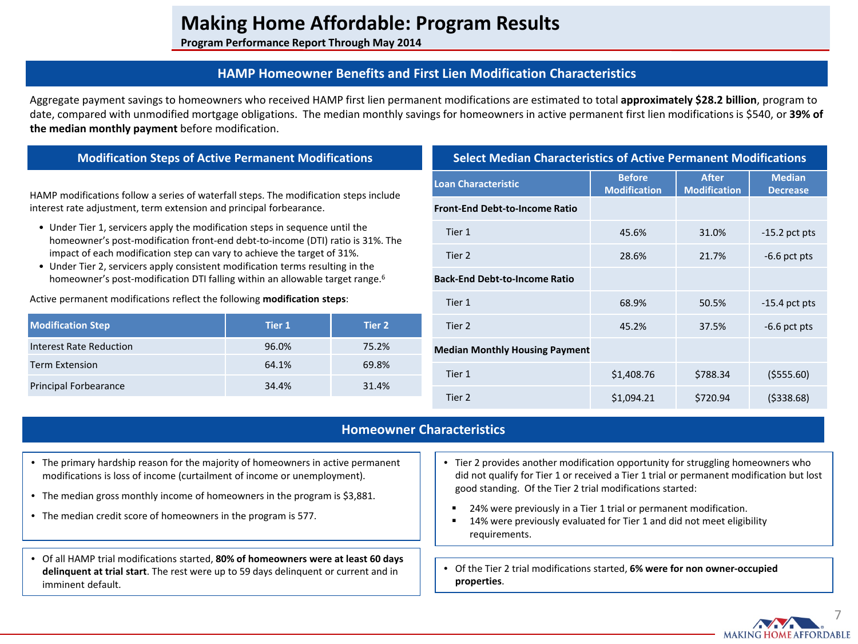**Program Performance Report Through May 2014**

## **HAMP Homeowner Benefits and First Lien Modification Characteristics**

Aggregate payment savings to homeowners who received HAMP first lien permanent modifications are estimated to total **approximately \$28.2 billion**, program to date, compared with unmodified mortgage obligations. The median monthly savings for homeowners in active permanent first lien modifications is \$540, or **39% of the median monthly payment** before modification.

### **Modification Steps of Active Permanent Modifications**

HAMP modifications follow a series of waterfall steps. The modification steps include interest rate adjustment, term extension and principal forbearance.

- Under Tier 1, servicers apply the modification steps in sequence until the homeowner's post-modification front-end debt-to-income (DTI) ratio is 31%. The impact of each modification step can vary to achieve the target of 31%.
- Under Tier 2, servicers apply consistent modification terms resulting in the homeowner's post-modification DTI falling within an allowable target range.<sup>6</sup>

Active permanent modifications reflect the following **modification steps**:

| <b>Modification Step</b>     | Tier 1 | Tier 2 |
|------------------------------|--------|--------|
| Interest Rate Reduction      | 96.0%  | 75.2%  |
| <b>Term Extension</b>        | 64.1%  | 69.8%  |
| <b>Principal Forbearance</b> | 34.4%  | 31.4%  |

| <b>Select Median Characteristics of Active Permanent Modifications</b> |                                      |                                     |                                  |  |  |  |  |
|------------------------------------------------------------------------|--------------------------------------|-------------------------------------|----------------------------------|--|--|--|--|
| <b>Loan Characteristic</b>                                             | <b>Before</b><br><b>Modification</b> | <b>After</b><br><b>Modification</b> | <b>Median</b><br><b>Decrease</b> |  |  |  |  |
| <b>Front-End Debt-to-Income Ratio</b>                                  |                                      |                                     |                                  |  |  |  |  |
| Tier 1                                                                 | 45.6%                                | 31.0%                               | $-15.2$ pct pts                  |  |  |  |  |
| Tier 2                                                                 | 28.6%                                | 21.7%                               | $-6.6$ pct pts                   |  |  |  |  |
| <b>Back-End Debt-to-Income Ratio</b>                                   |                                      |                                     |                                  |  |  |  |  |
| Tier 1                                                                 | 68.9%                                | 50.5%                               | $-15.4$ pct pts                  |  |  |  |  |
| Tier 2                                                                 | 45.2%                                | 37.5%                               | $-6.6$ pct pts                   |  |  |  |  |
| <b>Median Monthly Housing Payment</b>                                  |                                      |                                     |                                  |  |  |  |  |
| Tier 1                                                                 | \$1,408.76                           | \$788.34                            | ( \$555.60)                      |  |  |  |  |
| Tier 2                                                                 | \$1,094.21                           | \$720.94                            | (5338.68)                        |  |  |  |  |

### **Homeowner Characteristics**

- The primary hardship reason for the majority of homeowners in active permanent modifications is loss of income (curtailment of income or unemployment).
- The median gross monthly income of homeowners in the program is \$3,881.
- The median credit score of homeowners in the program is 577.
- Of all HAMP trial modifications started, **80% of homeowners were at least 60 days delinquent at trial start**. The rest were up to 59 days delinquent or current and in imminent default.
- Tier 2 provides another modification opportunity for struggling homeowners who did not qualify for Tier 1 or received a Tier 1 trial or permanent modification but lost good standing. Of the Tier 2 trial modifications started:
- 24% were previously in a Tier 1 trial or permanent modification.
- 14% were previously evaluated for Tier 1 and did not meet eligibility requirements.
- Of the Tier 2 trial modifications started, **6% were for non owner-occupied properties**.

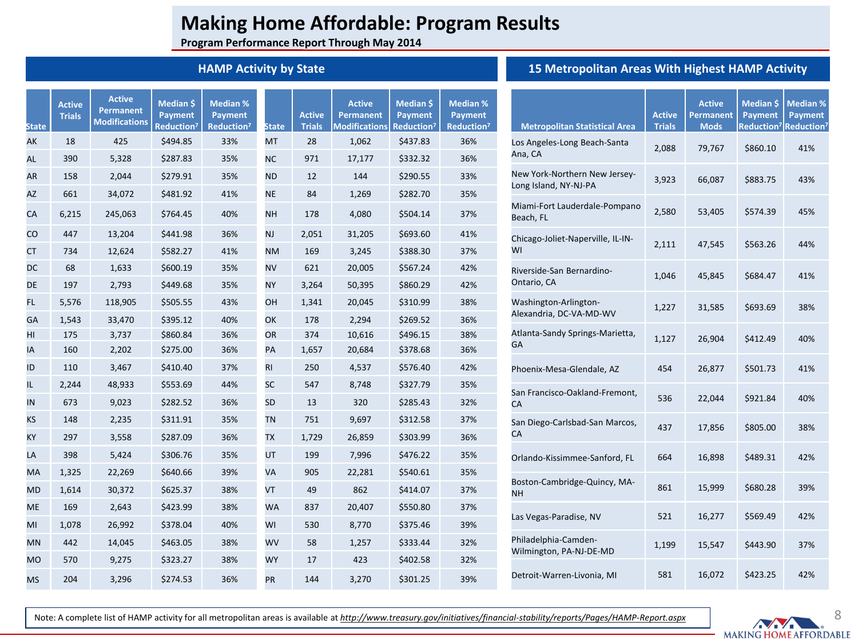**Program Performance Report Through May 2014**

## **HAMP Activity by State**

**Median %** 

**Active**

**Median \$** 

|                            |                      |                            | 15 Metropolitan Areas With |               |
|----------------------------|----------------------|----------------------------|----------------------------|---------------|
| <b>Active</b><br>Permanent | Median \$<br>Payment | <b>Median %</b><br>Payment |                            | <b>Active</b> |

| <b>State</b> | <b>Active</b><br><b>Trials</b> | .<br><b>Permanent</b><br><b>Modifications</b> | Median \$<br><b>Payment</b><br>Reduction <sup>7</sup> | Median %<br><b>Payment</b><br>Reduction <sup>7</sup> | <b>State</b> | <b>Active</b><br><b>Trials</b> | Active<br><b>Permanent</b><br><b>Modifications</b> | Median \$<br><b>Payment</b><br>Reduction <sup>7</sup> | Median %<br><b>Payment</b><br>Reduction <sup>7</sup> | <b>Metropo</b>                 |
|--------------|--------------------------------|-----------------------------------------------|-------------------------------------------------------|------------------------------------------------------|--------------|--------------------------------|----------------------------------------------------|-------------------------------------------------------|------------------------------------------------------|--------------------------------|
| AK           | 18                             | 425                                           | \$494.85                                              | 33%                                                  | <b>MT</b>    | 28                             | 1,062                                              | \$437.83                                              | 36%                                                  | Los Angele                     |
| AL           | 390                            | 5,328                                         | \$287.83                                              | 35%                                                  | <b>NC</b>    | 971                            | 17,177                                             | \$332.32                                              | 36%                                                  | Ana, CA                        |
| <b>AR</b>    | 158                            | 2,044                                         | \$279.91                                              | 35%                                                  | <b>ND</b>    | 12                             | 144                                                | \$290.55                                              | 33%                                                  | New York-I                     |
| <b>AZ</b>    | 661                            | 34,072                                        | \$481.92                                              | 41%                                                  | <b>NE</b>    | 84                             | 1,269                                              | \$282.70                                              | 35%                                                  | Long Island                    |
| CA           | 6,215                          | 245,063                                       | \$764.45                                              | 40%                                                  | <b>NH</b>    | 178                            | 4,080                                              | \$504.14                                              | 37%                                                  | Miami-Fort<br>Beach, FL        |
| CO           | 447                            | 13,204                                        | \$441.98                                              | 36%                                                  | <b>NJ</b>    | 2,051                          | 31,205                                             | \$693.60                                              | 41%                                                  | Chicago-Jo                     |
| <b>CT</b>    | 734                            | 12,624                                        | \$582.27                                              | 41%                                                  | <b>NM</b>    | 169                            | 3,245                                              | \$388.30                                              | 37%                                                  | WI                             |
| <b>DC</b>    | 68                             | 1,633                                         | \$600.19                                              | 35%                                                  | <b>NV</b>    | 621                            | 20,005                                             | \$567.24                                              | 42%                                                  | Riverside-S                    |
| DE           | 197                            | 2,793                                         | \$449.68                                              | 35%                                                  | <b>NY</b>    | 3,264                          | 50,395                                             | \$860.29                                              | 42%                                                  | Ontario, CA                    |
| FL.          | 5,576                          | 118,905                                       | \$505.55                                              | 43%                                                  | OН           | 1,341                          | 20,045                                             | \$310.99                                              | 38%                                                  | Washingto                      |
| GA           | 1,543                          | 33,470                                        | \$395.12                                              | 40%                                                  | OK           | 178                            | 2,294                                              | \$269.52                                              | 36%                                                  | Alexandria                     |
| HI           | 175                            | 3,737                                         | \$860.84                                              | 36%                                                  | OR           | 374                            | 10,616                                             | \$496.15                                              | 38%                                                  | Atlanta-Sar                    |
| IA           | 160                            | 2,202                                         | \$275.00                                              | 36%                                                  | PA           | 1,657                          | 20,684                                             | \$378.68                                              | 36%                                                  | GA                             |
| ID           | 110                            | 3,467                                         | \$410.40                                              | 37%                                                  | <b>RI</b>    | 250                            | 4,537                                              | \$576.40                                              | 42%                                                  | Phoenix-M                      |
| IL.          | 2,244                          | 48,933                                        | \$553.69                                              | 44%                                                  | <b>SC</b>    | 547                            | 8,748                                              | \$327.79                                              | 35%                                                  | San Francis                    |
| IN           | 673                            | 9,023                                         | \$282.52                                              | 36%                                                  | <b>SD</b>    | 13                             | 320                                                | \$285.43                                              | 32%                                                  | CA                             |
| <b>KS</b>    | 148                            | 2,235                                         | \$311.91                                              | 35%                                                  | <b>TN</b>    | 751                            | 9,697                                              | \$312.58                                              | 37%                                                  | San Diego-                     |
| KY           | 297                            | 3,558                                         | \$287.09                                              | 36%                                                  | <b>TX</b>    | 1,729                          | 26,859                                             | \$303.99                                              | 36%                                                  | СA                             |
| LA           | 398                            | 5,424                                         | \$306.76                                              | 35%                                                  | UT           | 199                            | 7,996                                              | \$476.22                                              | 35%                                                  | Orlando-Ki                     |
| MA           | 1,325                          | 22,269                                        | \$640.66                                              | 39%                                                  | VA           | 905                            | 22,281                                             | \$540.61                                              | 35%                                                  |                                |
| <b>MD</b>    | 1,614                          | 30,372                                        | \$625.37                                              | 38%                                                  | VT           | 49                             | 862                                                | \$414.07                                              | 37%                                                  | <b>Boston-Car</b><br><b>NH</b> |
| <b>ME</b>    | 169                            | 2,643                                         | \$423.99                                              | 38%                                                  | <b>WA</b>    | 837                            | 20,407                                             | \$550.80                                              | 37%                                                  |                                |
| MI           | 1,078                          | 26,992                                        | \$378.04                                              | 40%                                                  | WI           | 530                            | 8,770                                              | \$375.46                                              | 39%                                                  | Las Vegas-I                    |
| <b>MN</b>    | 442                            | 14,045                                        | \$463.05                                              | 38%                                                  | <b>WV</b>    | 58                             | 1,257                                              | \$333.44                                              | 32%                                                  | Philadelphi                    |
| MO           | 570                            | 9,275                                         | \$323.27                                              | 38%                                                  | <b>WY</b>    | 17                             | 423                                                | \$402.58                                              | 32%                                                  | Wilmingtor                     |
| <b>MS</b>    | 204                            | 3,296                                         | \$274.53                                              | 36%                                                  | <b>PR</b>    | 144                            | 3,270                                              | \$301.25                                              | 39%                                                  | Detroit-Wa                     |

| 15 Metropolitan Areas With Highest HAMP Activity |  |  |  |  |
|--------------------------------------------------|--|--|--|--|
|--------------------------------------------------|--|--|--|--|

| <b>Metropolitan Statistical Area</b>                   | <b>Active</b><br><b>Trials</b> | <b>Active</b><br><b>Permanent</b><br><b>Mods</b> | Median \$<br>Payment | <b>Median %</b><br>Payment<br>Reduction <sup>7</sup> Reduction <sup>7</sup> |
|--------------------------------------------------------|--------------------------------|--------------------------------------------------|----------------------|-----------------------------------------------------------------------------|
| Los Angeles-Long Beach-Santa<br>Ana, CA                | 2,088                          | 79,767                                           | \$860.10             | 41%                                                                         |
| New York-Northern New Jersey-<br>Long Island, NY-NJ-PA | 3,923                          | 66,087                                           | \$883.75             | 43%                                                                         |
| Miami-Fort Lauderdale-Pompano<br>Beach, FL             | 2,580                          | 53,405                                           | \$574.39             | 45%                                                                         |
| Chicago-Joliet-Naperville, IL-IN-<br>WI                | 2,111                          | 47,545                                           | \$563.26             | 44%                                                                         |
| Riverside-San Bernardino-<br>Ontario, CA               | 1,046                          | 45,845                                           | \$684.47             | 41%                                                                         |
| Washington-Arlington-<br>Alexandria, DC-VA-MD-WV       | 1,227                          | 31,585                                           | \$693.69             | 38%                                                                         |
| Atlanta-Sandy Springs-Marietta,<br>GА                  | 1,127                          | 26,904                                           | \$412.49             | 40%                                                                         |
| Phoenix-Mesa-Glendale, AZ                              | 454                            | 26,877                                           | \$501.73             | 41%                                                                         |
| San Francisco-Oakland-Fremont,<br>СA                   | 536                            | 22,044                                           | \$921.84             | 40%                                                                         |
| San Diego-Carlsbad-San Marcos,<br>СA                   | 437                            | 17,856                                           | \$805.00             | 38%                                                                         |
| Orlando-Kissimmee-Sanford, FL                          | 664                            | 16,898                                           | \$489.31             | 42%                                                                         |
| Boston-Cambridge-Quincy, MA-<br><b>NH</b>              | 861                            | 15,999                                           | \$680.28             | 39%                                                                         |
| Las Vegas-Paradise, NV                                 | 521                            | 16,277                                           | \$569.49             | 42%                                                                         |
| Philadelphia-Camden-<br>Wilmington, PA-NJ-DE-MD        | 1,199                          | 15,547                                           | \$443.90             | 37%                                                                         |
| Detroit-Warren-Livonia, MI                             | 581                            | 16,072                                           | \$423.25             | 42%                                                                         |

Note: A complete list of HAMP activity for all metropolitan areas is available at *http://www.treasury.gov/initiatives/financial-stability/reports/Pages/HAMP-Report.aspx*

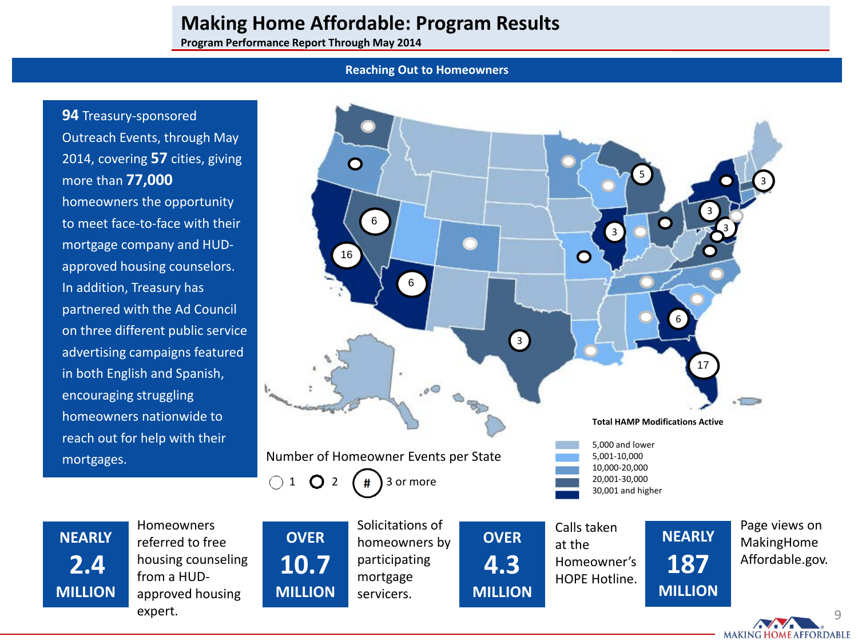**Program Performance Report Through May 2014**

### **Reaching Out to Homeowners**

**94** Treasury-sponsored Outreach Events, through May 2014, covering **57** cities, giving more than **77,000** homeowners the opportunity to meet face-to-face with their mortgage company and HUDapproved housing counselors. In addition, Treasury has partnered with the Ad Council on three different public service advertising campaigns featured in both English and Spanish, encouraging struggling homeowners nationwide to reach out for help with their mortgages.



9

**MAKING HOME AFFORDABLE** 

**NEARLY 2.4 MILLION** Homeowners referred to free housing counseling from a HUDapproved housing expert.

servicers.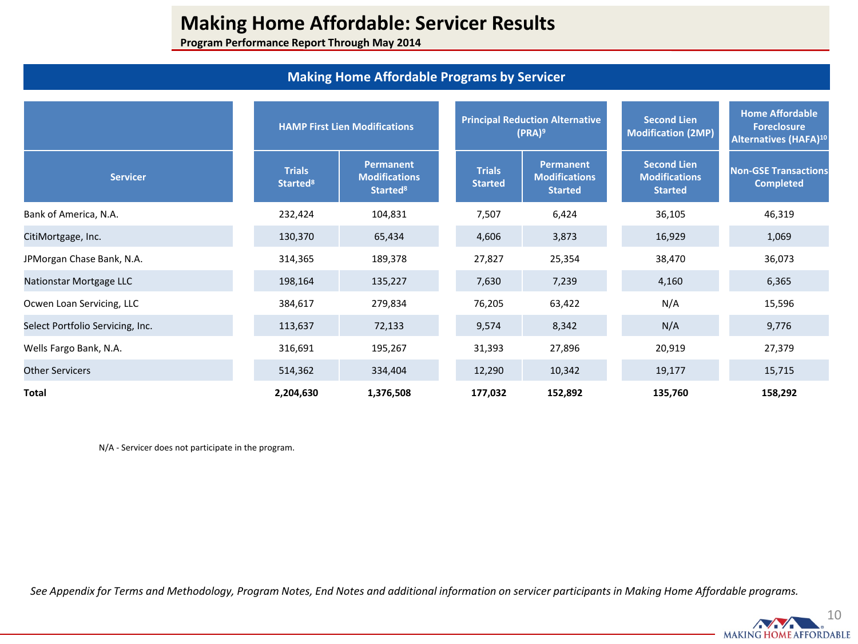**Program Performance Report Through May 2014**

## **Making Home Affordable Programs by Servicer**

|                                  |                                       | <b>HAMP First Lien Modifications</b>                             |                                 | <b>Principal Reduction Alternative</b><br>$(PRA)^9$        | <b>Second Lien</b><br><b>Modification (2MP)</b>              | <b>Home Affordable</b><br><b>Foreclosure</b><br>Alternatives (HAFA) <sup>10</sup> |
|----------------------------------|---------------------------------------|------------------------------------------------------------------|---------------------------------|------------------------------------------------------------|--------------------------------------------------------------|-----------------------------------------------------------------------------------|
| <b>Servicer</b>                  | <b>Trials</b><br>Started <sup>8</sup> | <b>Permanent</b><br><b>Modifications</b><br>Started <sup>8</sup> | <b>Trials</b><br><b>Started</b> | <b>Permanent</b><br><b>Modifications</b><br><b>Started</b> | <b>Second Lien</b><br><b>Modifications</b><br><b>Started</b> | <b>Non-GSE Transactions</b><br><b>Completed</b>                                   |
| Bank of America, N.A.            | 232,424                               | 104,831                                                          | 7,507                           | 6,424                                                      | 36,105                                                       | 46,319                                                                            |
| CitiMortgage, Inc.               | 130,370                               | 65,434                                                           | 4,606                           | 3,873                                                      | 16,929                                                       | 1,069                                                                             |
| JPMorgan Chase Bank, N.A.        | 314,365                               | 189,378                                                          | 27,827                          | 25,354                                                     | 38,470                                                       | 36,073                                                                            |
| Nationstar Mortgage LLC          | 198,164                               | 135,227                                                          | 7,630                           | 7,239                                                      | 4,160                                                        | 6,365                                                                             |
| Ocwen Loan Servicing, LLC        | 384,617                               | 279,834                                                          | 76,205                          | 63,422                                                     | N/A                                                          | 15,596                                                                            |
| Select Portfolio Servicing, Inc. | 113,637                               | 72,133                                                           | 9,574                           | 8,342                                                      | N/A                                                          | 9,776                                                                             |
| Wells Fargo Bank, N.A.           | 316,691                               | 195,267                                                          | 31,393                          | 27,896                                                     | 20,919                                                       | 27,379                                                                            |
| <b>Other Servicers</b>           | 514,362                               | 334,404                                                          | 12,290                          | 10,342                                                     | 19,177                                                       | 15,715                                                                            |
| Total                            | 2,204,630                             | 1,376,508                                                        | 177,032                         | 152,892                                                    | 135,760                                                      | 158,292                                                                           |

N/A - Servicer does not participate in the program.

*See Appendix for Terms and Methodology, Program Notes, End Notes and additional information on servicer participants in Making Home Affordable programs.* 

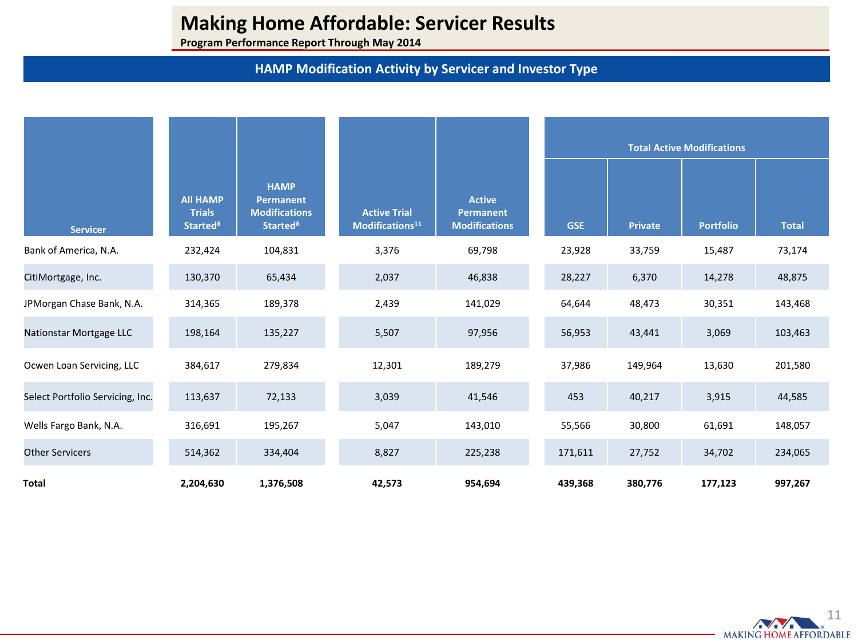**Program Performance Report Through May 2014**

# **HAMP Modification Activity by Servicer and Investor Type**

|                                  |                                                                |                                                                                       |                                                    |                                                           |            | <b>Total Active Modifications</b> |                  |              |  |
|----------------------------------|----------------------------------------------------------------|---------------------------------------------------------------------------------------|----------------------------------------------------|-----------------------------------------------------------|------------|-----------------------------------|------------------|--------------|--|
| <b>Servicer</b>                  | <b>All HAMP</b><br><b>Trials</b><br><b>Started<sup>8</sup></b> | <b>HAMP</b><br><b>Permanent</b><br><b>Modifications</b><br><b>Started<sup>8</sup></b> | <b>Active Trial</b><br>Modifications <sup>11</sup> | <b>Active</b><br><b>Permanent</b><br><b>Modifications</b> | <b>GSE</b> | <b>Private</b>                    | <b>Portfolio</b> | <b>Total</b> |  |
| Bank of America, N.A.            | 232,424                                                        | 104,831                                                                               | 3,376                                              | 69,798                                                    | 23,928     | 33,759                            | 15,487           | 73,174       |  |
| CitiMortgage, Inc.               | 130,370                                                        | 65,434                                                                                | 2,037                                              | 46,838                                                    | 28,227     | 6,370                             | 14,278           | 48,875       |  |
| JPMorgan Chase Bank, N.A.        | 314,365                                                        | 189,378                                                                               | 2,439                                              | 141,029                                                   | 64,644     | 48,473                            | 30,351           | 143,468      |  |
| Nationstar Mortgage LLC          | 198,164                                                        | 135,227                                                                               | 5,507                                              | 97,956                                                    | 56,953     | 43,441                            | 3,069            | 103,463      |  |
| Ocwen Loan Servicing, LLC        | 384,617                                                        | 279,834                                                                               | 12,301                                             | 189,279                                                   | 37,986     | 149,964                           | 13,630           | 201,580      |  |
| Select Portfolio Servicing, Inc. | 113,637                                                        | 72,133                                                                                | 3,039                                              | 41,546                                                    | 453        | 40,217                            | 3,915            | 44,585       |  |
| Wells Fargo Bank, N.A.           | 316,691                                                        | 195,267                                                                               | 5,047                                              | 143,010                                                   | 55,566     | 30,800                            | 61,691           | 148,057      |  |
| <b>Other Servicers</b>           | 514,362                                                        | 334,404                                                                               | 8,827                                              | 225,238                                                   | 171,611    | 27,752                            | 34,702           | 234,065      |  |
| Total                            | 2,204,630                                                      | 1,376,508                                                                             | 42,573                                             | 954,694                                                   | 439,368    | 380,776                           | 177,123          | 997,267      |  |

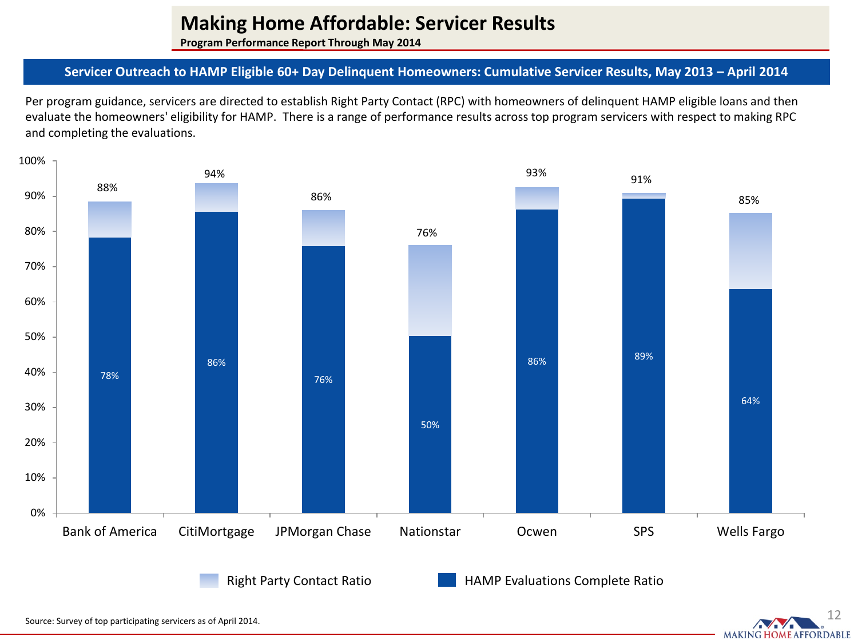**Program Performance Report Through May 2014**

## **Servicer Outreach to HAMP Eligible 60+ Day Delinquent Homeowners: Cumulative Servicer Results, May 2013 – April 2014**

Per program guidance, servicers are directed to establish Right Party Contact (RPC) with homeowners of delinquent HAMP eligible loans and then evaluate the homeowners' eligibility for HAMP. There is a range of performance results across top program servicers with respect to making RPC and completing the evaluations.



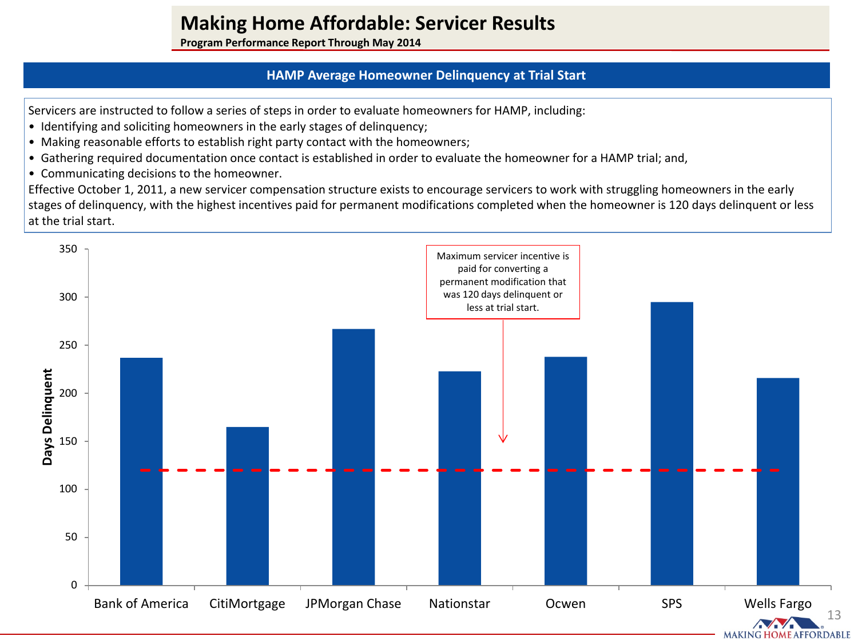**Program Performance Report Through May 2014**

## **HAMP Average Homeowner Delinquency at Trial Start**

Servicers are instructed to follow a series of steps in order to evaluate homeowners for HAMP, including:

- Identifying and soliciting homeowners in the early stages of delinquency;
- Making reasonable efforts to establish right party contact with the homeowners;
- Gathering required documentation once contact is established in order to evaluate the homeowner for a HAMP trial; and,
- Communicating decisions to the homeowner.

Effective October 1, 2011, a new servicer compensation structure exists to encourage servicers to work with struggling homeowners in the early stages of delinquency, with the highest incentives paid for permanent modifications completed when the homeowner is 120 days delinquent or less at the trial start.



**MAKING HOME AFFORDABLE**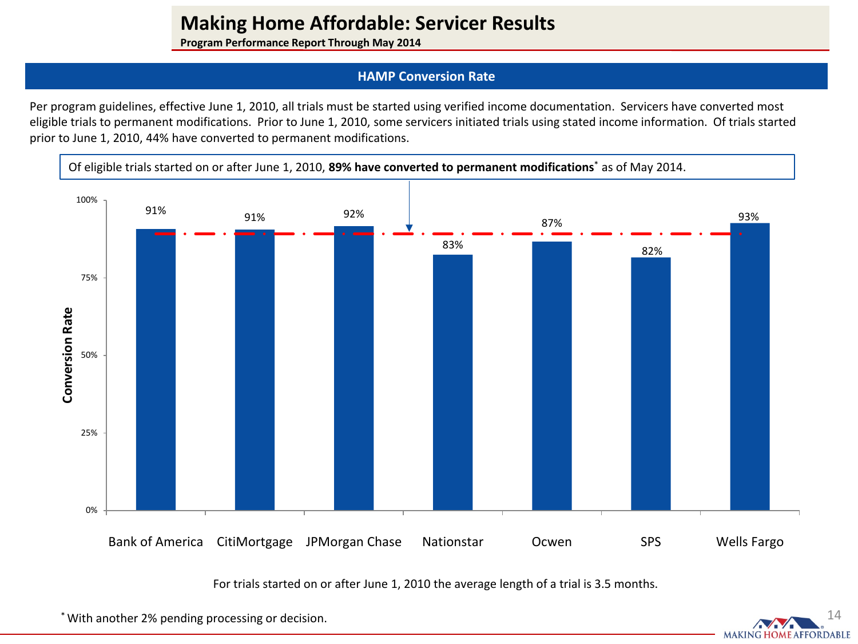**Program Performance Report Through May 2014**

## **HAMP Conversion Rate**

Per program guidelines, effective June 1, 2010, all trials must be started using verified income documentation. Servicers have converted most eligible trials to permanent modifications. Prior to June 1, 2010, some servicers initiated trials using stated income information. Of trials started prior to June 1, 2010, 44% have converted to permanent modifications.



For trials started on or after June 1, 2010 the average length of a trial is 3.5 months.

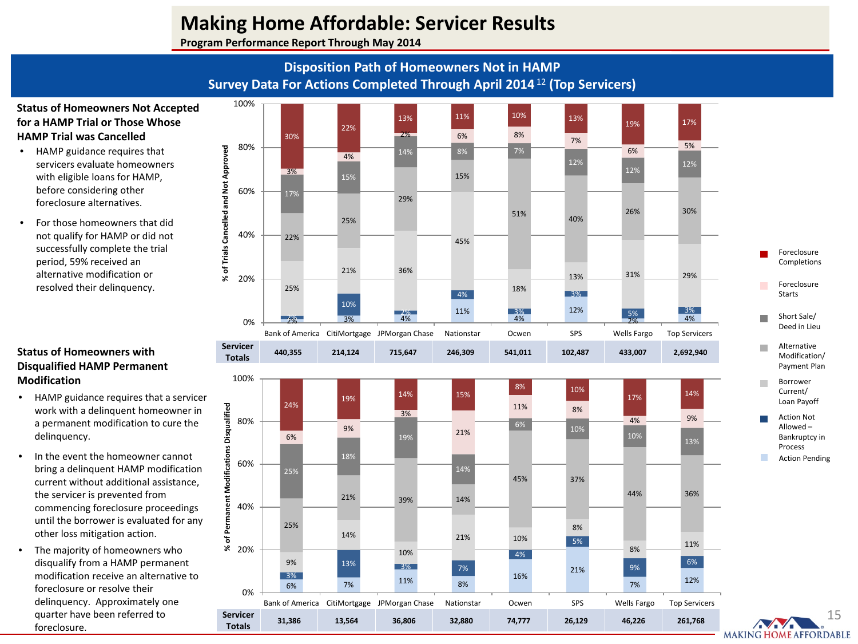**Program Performance Report Through May 2014**

# **Disposition Path of Homeowners Not in HAMP Survey Data For Actions Completed Through April 2014**<sup>12</sup> **(Top Servicers)**

### **Status of Homeowners Not Accepted for a HAMP Trial or Those Whose HAMP Trial was Cancelled**

- HAMP guidance requires that servicers evaluate homeowners with eligible loans for HAMP, before considering other foreclosure alternatives.
- For those homeowners that did not qualify for HAMP or did not successfully complete the trial period, 59% received an alternative modification or resolved their delinquency.

### **Status of Homeowners with Disqualified HAMP Permanent Modification**

- HAMP guidance requires that a servicer work with a delinquent homeowner in a permanent modification to cure the delinquency.
- In the event the homeowner cannot bring a delinquent HAMP modification current without additional assistance, the servicer is prevented from commencing foreclosure proceedings until the borrower is evaluated for any other loss mitigation action.
- The majority of homeowners who disqualify from a HAMP permanent modification receive an alternative to foreclosure or resolve their delinquency. Approximately one quarter have been referred to foreclosure.

**Servicer** 

0%

20%

40%

Permanent

৳  $\mathbf{\tilde{x}}$ 



**Totals 31,386 13,564 36,806 32,880 74,777 26,129 46,226 261,768**

16%

4%

 $\frac{3\%}{6\%}$  12% 12%  $\frac{12\%}{7\%}$  12%

Bank of America CitiMortgage JPMorgan Chase Nationstar Ocwen SPS Wells Fargo Top Servicers

9% 13% <mark>3% 7% 7% 21%</mark> 2016 9% 9% 6%

21% 10%

21%

5%

8% 11%

44% 36%

8%

6% 7% 11% 8%

14%

25%

13% 3% 7%

10%

21% 39% 14%

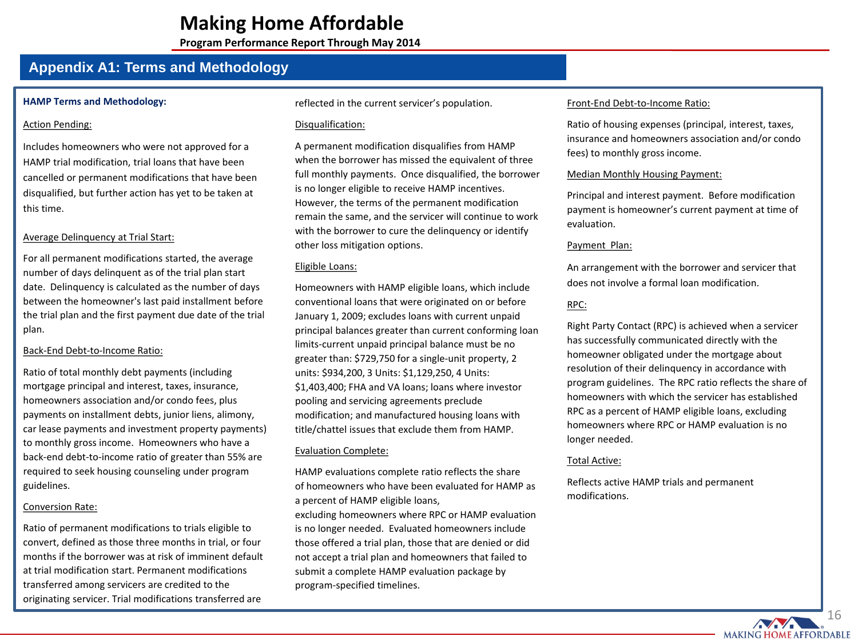**Program Performance Report Through May 2014**

## **Appendix A1: Terms and Methodology**

### **HAMP Terms and Methodology:**

### Action Pending:

Includes homeowners who were not approved for a HAMP trial modification, trial loans that have been cancelled or permanent modifications that have been disqualified, but further action has yet to be taken at this time.

### Average Delinquency at Trial Start:

For all permanent modifications started, the average number of days delinquent as of the trial plan start date. Delinquency is calculated as the number of days between the homeowner's last paid installment before the trial plan and the first payment due date of the trial plan.

### Back-End Debt-to-Income Ratio:

Ratio of total monthly debt payments (including mortgage principal and interest, taxes, insurance, homeowners association and/or condo fees, plus payments on installment debts, junior liens, alimony, car lease payments and investment property payments) to monthly gross income. Homeowners who have a back-end debt-to-income ratio of greater than 55% are required to seek housing counseling under program guidelines.

### Conversion Rate:

Ratio of permanent modifications to trials eligible to convert, defined as those three months in trial, or four months if the borrower was at risk of imminent default at trial modification start. Permanent modifications transferred among servicers are credited to the originating servicer. Trial modifications transferred are

reflected in the current servicer's population.

### Disqualification:

A permanent modification disqualifies from HAMP when the borrower has missed the equivalent of three full monthly payments. Once disqualified, the borrower is no longer eligible to receive HAMP incentives. However, the terms of the permanent modification remain the same, and the servicer will continue to work with the borrower to cure the delinquency or identify other loss mitigation options.

### Eligible Loans:

Homeowners with HAMP eligible loans, which include conventional loans that were originated on or before January 1, 2009; excludes loans with current unpaid principal balances greater than current conforming loan limits-current unpaid principal balance must be no greater than: \$729,750 for a single-unit property, 2 units: \$934,200, 3 Units: \$1,129,250, 4 Units: \$1,403,400; FHA and VA loans; loans where investor pooling and servicing agreements preclude modification; and manufactured housing loans with title/chattel issues that exclude them from HAMP.

### Evaluation Complete:

HAMP evaluations complete ratio reflects the share of homeowners who have been evaluated for HAMP as a percent of HAMP eligible loans, excluding homeowners where RPC or HAMP evaluation is no longer needed. Evaluated homeowners include those offered a trial plan, those that are denied or did not accept a trial plan and homeowners that failed to submit a complete HAMP evaluation package by program-specified timelines.

#### Front-End Debt-to-Income Ratio:

Ratio of housing expenses (principal, interest, taxes, insurance and homeowners association and/or condo fees) to monthly gross income.

### Median Monthly Housing Payment:

Principal and interest payment. Before modification payment is homeowner's current payment at time of evaluation.

#### Payment Plan:

An arrangement with the borrower and servicer that does not involve a formal loan modification.

### RPC:

Right Party Contact (RPC) is achieved when a servicer has successfully communicated directly with the homeowner obligated under the mortgage about resolution of their delinquency in accordance with program guidelines. The RPC ratio reflects the share of homeowners with which the servicer has established RPC as a percent of HAMP eligible loans, excluding homeowners where RPC or HAMP evaluation is no longer needed.

### Total Active:

Reflects active HAMP trials and permanent modifications.

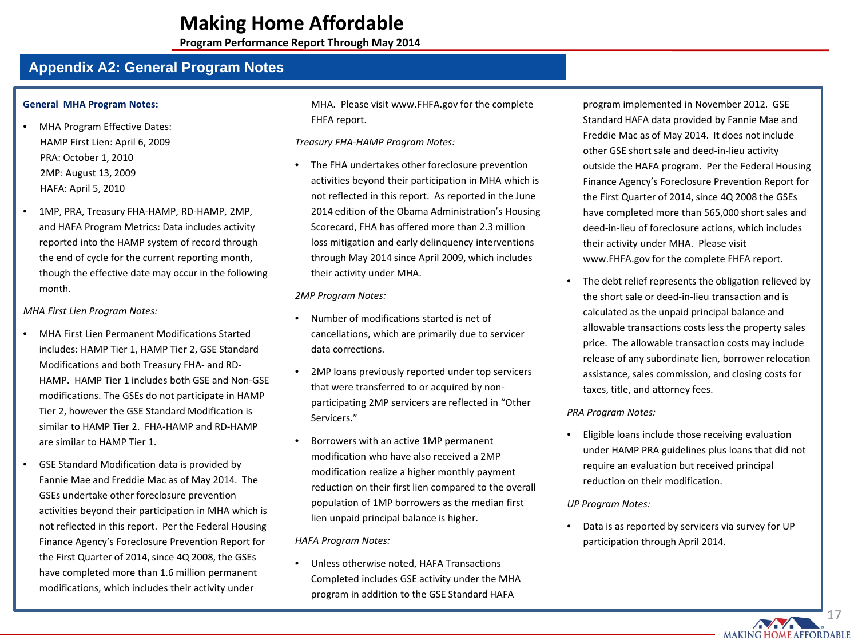**Program Performance Report Through May 2014**

## **Appendix A2: General Program Notes**

#### **General MHA Program Notes:**

- MHA Program Effective Dates: HAMP First Lien: April 6, 2009 PRA: October 1, 2010 2MP: August 13, 2009 HAFA: April 5, 2010
- 1MP, PRA, Treasury FHA-HAMP, RD-HAMP, 2MP, and HAFA Program Metrics: Data includes activity reported into the HAMP system of record through the end of cycle for the current reporting month, though the effective date may occur in the following month.

#### *MHA First Lien Program Notes:*

- MHA First Lien Permanent Modifications Started includes: HAMP Tier 1, HAMP Tier 2, GSE Standard Modifications and both Treasury FHA- and RD-HAMP. HAMP Tier 1 includes both GSE and Non-GSE modifications. The GSEs do not participate in HAMP Tier 2, however the GSE Standard Modification is similar to HAMP Tier 2. FHA-HAMP and RD-HAMP are similar to HAMP Tier 1.
- GSE Standard Modification data is provided by Fannie Mae and Freddie Mac as of May 2014. The GSEs undertake other foreclosure prevention activities beyond their participation in MHA which is not reflected in this report. Per the Federal Housing Finance Agency's Foreclosure Prevention Report for the First Quarter of 2014, since 4Q 2008, the GSEs have completed more than 1.6 million permanent modifications, which includes their activity under

MHA. Please visit www.FHFA.gov for the complete FHFA report.

*Treasury FHA-HAMP Program Notes:* 

The FHA undertakes other foreclosure prevention activities beyond their participation in MHA which is not reflected in this report. As reported in the June 2014 edition of the Obama Administration's Housing Scorecard, FHA has offered more than 2.3 million loss mitigation and early delinquency interventions through May 2014 since April 2009, which includes their activity under MHA.

#### *2MP Program Notes:*

- Number of modifications started is net of cancellations, which are primarily due to servicer data corrections.
- 2MP loans previously reported under top servicers that were transferred to or acquired by nonparticipating 2MP servicers are reflected in "Other Servicers."
- Borrowers with an active 1MP permanent modification who have also received a 2MP modification realize a higher monthly payment reduction on their first lien compared to the overall population of 1MP borrowers as the median first lien unpaid principal balance is higher.

*HAFA Program Notes:*

• Unless otherwise noted, HAFA Transactions Completed includes GSE activity under the MHA program in addition to the GSE Standard HAFA

program implemented in November 2012. GSE Standard HAFA data provided by Fannie Mae and Freddie Mac as of May 2014. It does not include other GSE short sale and deed-in-lieu activity outside the HAFA program. Per the Federal Housing Finance Agency's Foreclosure Prevention Report for the First Quarter of 2014, since 4Q 2008 the GSEs have completed more than 565,000 short sales and deed-in-lieu of foreclosure actions, which includes their activity under MHA. Please visit www.FHFA.gov for the complete FHFA report.

The debt relief represents the obligation relieved by the short sale or deed-in-lieu transaction and is calculated as the unpaid principal balance and allowable transactions costs less the property sales price. The allowable transaction costs may include release of any subordinate lien, borrower relocation assistance, sales commission, and closing costs for taxes, title, and attorney fees.

### *PRA Program Notes:*

• Eligible loans include those receiving evaluation under HAMP PRA guidelines plus loans that did not require an evaluation but received principal reduction on their modification.

#### *UP Program Notes:*

• Data is as reported by servicers via survey for UP participation through April 2014.

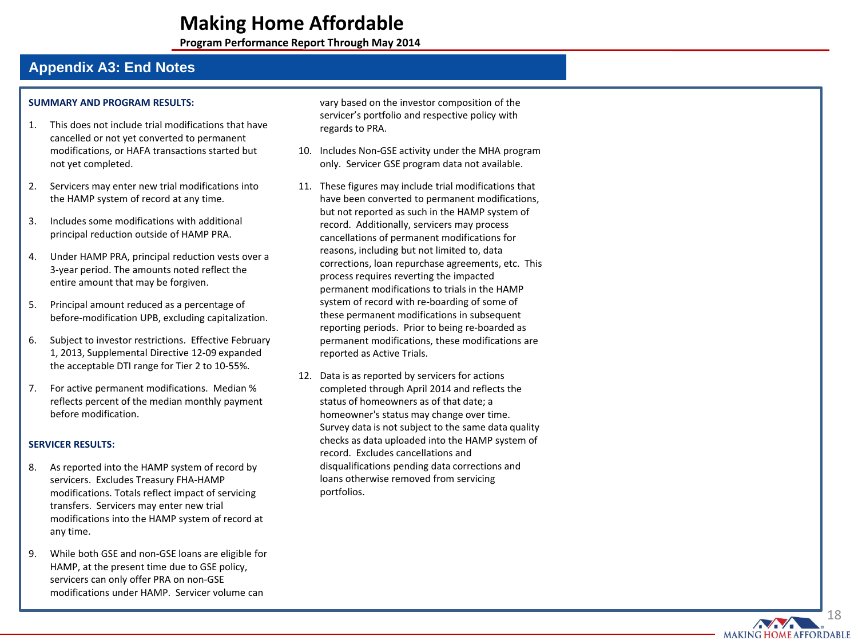**Program Performance Report Through May 2014**

# **Appendix A3: End Notes**

#### **SUMMARY AND PROGRAM RESULTS :**

- 1. This does not include trial modifications that have cancelled or not yet converted to permanent modifications, or HAFA transactions started but not yet completed .
- 2. Servicers may enter new trial modifications into the HAMP system of record at any time.
- 3. Includes some modifications with additional principal reduction outside of HAMP PRA.
- 4. Under HAMP PRA, principal reduction vests over a 3-year period. The amounts noted reflect the entire amount that may be forgiven.
- 5. Principal amount reduced as a percentage of before -modification UPB, excluding capitalization.
- 6. Subject to investor restrictions. Effective February 1, 2013, Supplemental Directive 12 -09 expanded the acceptable DTI range for Tier 2 to 10 -55%.
- 7. For active permanent modifications. Median % reflects percent of the median monthly payment before modification .

### **SERVICER RESULTS:**

- 8. As reported into the HAMP system of record by servicers. Excludes Treasury FHA -HAMP modifications. Totals reflect impact of servicing transfers. Servicers may enter new trial modifications into the HAMP system of record at any time.
- 9. While both GSE and non -GSE loans are eligible for HAMP, at the present time due to GSE policy, servicers can only offer PRA on non -GSE modifications under HAMP. Servicer volume can

vary based on the investor composition of the servicer's portfolio and respective policy with regards to PRA.

- 10. Includes Non -GSE activity under the MHA program only. Servicer GSE program data not available .
- 11. These figures may include trial modifications that have been converted to permanent modifications, but not reported as such in the HAMP system of record. Additionally, servicers may process cancellations of permanent modifications for reasons, including but not limited to, data corrections, loan repurchase agreements, etc. This process requires reverting the impacted permanent modifications to trials in the HAMP system of record with re -boarding of some of these permanent modifications in subsequent reporting periods. Prior to being re -boarded as permanent modifications, these modifications are reported as Active Trials.
- 12. Data is as reported by servicers for actions completed through April 2014 and reflects the status of homeowners as of that date; a homeowner's status may change over time. Survey data is not subject to the same data quality checks as data uploaded into the HAMP system of record. Excludes cancellations and disqualifications pending data corrections and loans otherwise removed from servicing portfolios.

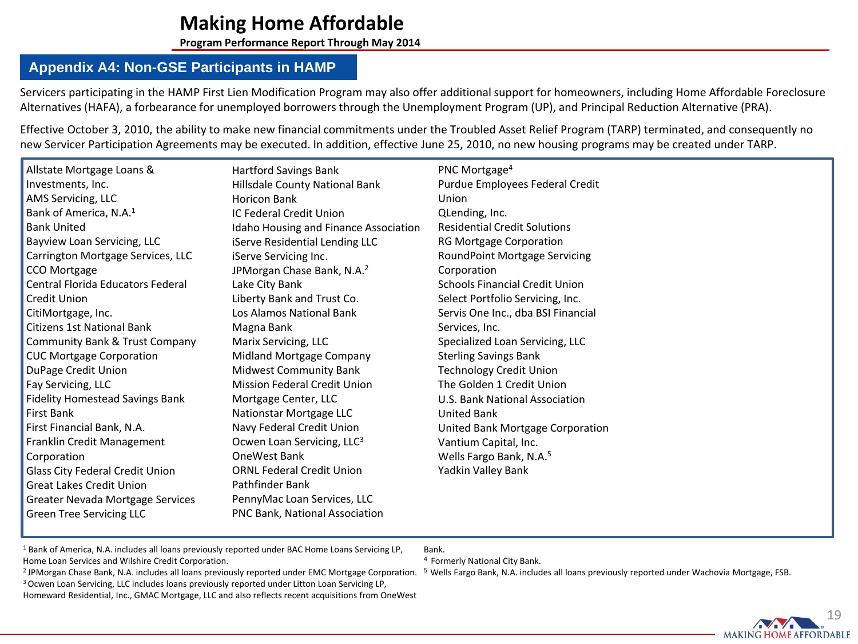**Program Performance Report Through May 2014**

## **Appendix A4: Non-GSE Participants in HAMP**

Servicers participating in the HAMP First Lien Modification Program may also offer additional support for homeowners, including Home Affordable Foreclosure Alternatives (HAFA), a forbearance for unemployed borrowers through the Unemployment Program (UP), and Principal Reduction Alternative (PRA).

Effective October 3, 2010, the ability to make new financial commitments under the Troubled Asset Relief Program (TARP) terminated, and consequently no new Servicer Participation Agreements may be executed. In addition, effective June 25, 2010, no new housing programs may be created under TARP.

| Allstate Mortgage Loans &              | <b>Hartford Savings Bank</b>           | PNC Mortgage <sup>4</sup>             |
|----------------------------------------|----------------------------------------|---------------------------------------|
| Investments, Inc.                      | Hillsdale County National Bank         | Purdue Employees Federal Credit       |
| AMS Servicing, LLC                     | <b>Horicon Bank</b>                    | Union                                 |
| Bank of America, N.A. <sup>1</sup>     | IC Federal Credit Union                | QLending, Inc.                        |
| <b>Bank United</b>                     | Idaho Housing and Finance Association  | <b>Residential Credit Solutions</b>   |
| Bayview Loan Servicing, LLC            | iServe Residential Lending LLC         | RG Mortgage Corporation               |
| Carrington Mortgage Services, LLC      | iServe Servicing Inc.                  | RoundPoint Mortgage Servicing         |
| CCO Mortgage                           | JPMorgan Chase Bank, N.A. <sup>2</sup> | Corporation                           |
| Central Florida Educators Federal      | Lake City Bank                         | <b>Schools Financial Credit Union</b> |
| Credit Union                           | Liberty Bank and Trust Co.             | Select Portfolio Servicing, Inc.      |
| CitiMortgage, Inc.                     | Los Alamos National Bank               | Servis One Inc., dba BSI Financial    |
| Citizens 1st National Bank             | Magna Bank                             | Services, Inc.                        |
| Community Bank & Trust Company         | Marix Servicing, LLC                   | Specialized Loan Servicing, LLC       |
| <b>CUC Mortgage Corporation</b>        | Midland Mortgage Company               | <b>Sterling Savings Bank</b>          |
| DuPage Credit Union                    | <b>Midwest Community Bank</b>          | <b>Technology Credit Union</b>        |
| Fay Servicing, LLC                     | Mission Federal Credit Union           | The Golden 1 Credit Union             |
| <b>Fidelity Homestead Savings Bank</b> | Mortgage Center, LLC                   | U.S. Bank National Association        |
| First Bank                             | Nationstar Mortgage LLC                | <b>United Bank</b>                    |
| First Financial Bank, N.A.             | Navy Federal Credit Union              | United Bank Mortgage Corporation      |
| Franklin Credit Management             | Ocwen Loan Servicing, LLC <sup>3</sup> | Vantium Capital, Inc.                 |
| Corporation                            | OneWest Bank                           | Wells Fargo Bank, N.A. <sup>5</sup>   |
| Glass City Federal Credit Union        | <b>ORNL Federal Credit Union</b>       | Yadkin Valley Bank                    |
| <b>Great Lakes Credit Union</b>        | Pathfinder Bank                        |                                       |
| Greater Nevada Mortgage Services       | PennyMac Loan Services, LLC            |                                       |
| <b>Green Tree Servicing LLC</b>        | PNC Bank, National Association         |                                       |

<sup>1</sup> Bank of America, N.A. includes all loans previously reported under BAC Home Loans Servicing LP, Home Loan Services and Wilshire Credit Corporation.

Bank. <sup>4</sup> Formerly National City Bank.

<sup>2</sup> JPMorgan Chase Bank, N.A. includes all loans previously reported under EMC Mortgage Corporation. <sup>5</sup> Wells Fargo Bank, N.A. includes all loans previously reported under Wachovia Mortgage, FSB.<br><sup>3</sup> Ocwen Loan Servicing,

Homeward Residential, Inc., GMAC Mortgage, LLC and also reflects recent acquisitions from OneWest